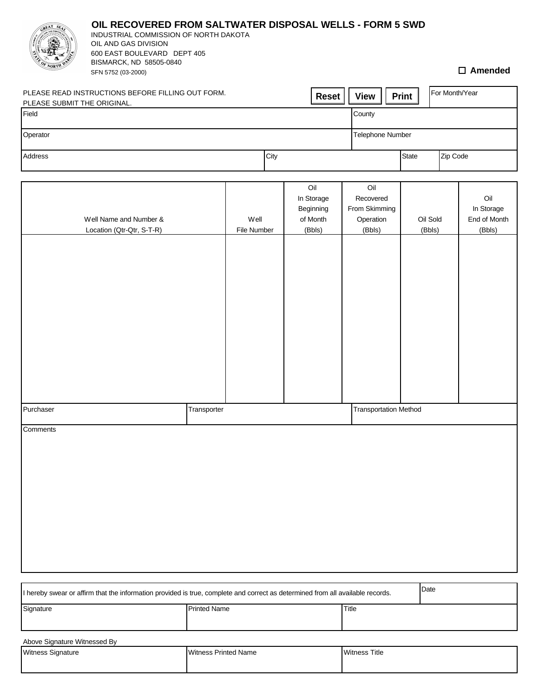|                                                                                                  | OIL RECOVERED FROM SALTWATER DISPOSAL WELLS - FORM 5 SWD<br>INDUSTRIAL COMMISSION OF NORTH DAKOTA<br>OIL AND GAS DIVISION<br>600 EAST BOULEVARD DEPT 405<br>BISMARCK, ND 58505-0840 |                     |                     |                                                      |  |                                                          |              |              |                |                    |                                             |
|--------------------------------------------------------------------------------------------------|-------------------------------------------------------------------------------------------------------------------------------------------------------------------------------------|---------------------|---------------------|------------------------------------------------------|--|----------------------------------------------------------|--------------|--------------|----------------|--------------------|---------------------------------------------|
|                                                                                                  | SFN 5752 (03-2000)                                                                                                                                                                  |                     |                     |                                                      |  |                                                          |              |              |                |                    | $\square$ Amended                           |
| PLEASE READ INSTRUCTIONS BEFORE FILLING OUT FORM.<br><b>Reset</b><br>PLEASE SUBMIT THE ORIGINAL. |                                                                                                                                                                                     |                     |                     |                                                      |  | <b>View</b>                                              |              | <b>Print</b> | For Month/Year |                    |                                             |
| Field                                                                                            |                                                                                                                                                                                     |                     |                     |                                                      |  | County                                                   |              |              |                |                    |                                             |
| Operator                                                                                         |                                                                                                                                                                                     |                     |                     |                                                      |  | Telephone Number                                         |              |              |                |                    |                                             |
| Address                                                                                          | City                                                                                                                                                                                |                     |                     |                                                      |  | <b>State</b><br>Zip Code                                 |              |              |                |                    |                                             |
|                                                                                                  |                                                                                                                                                                                     |                     |                     |                                                      |  |                                                          |              |              |                |                    |                                             |
|                                                                                                  | Well Name and Number &<br>Location (Qtr-Qtr, S-T-R)                                                                                                                                 |                     | Well<br>File Number | Oil<br>In Storage<br>Beginning<br>of Month<br>(Bbls) |  | Oil<br>Recovered<br>From Skimming<br>Operation<br>(Bbls) |              |              |                | Oil Sold<br>(Bbls) | Oil<br>In Storage<br>End of Month<br>(Bbls) |
|                                                                                                  |                                                                                                                                                                                     |                     |                     |                                                      |  |                                                          |              |              |                |                    |                                             |
| Purchaser                                                                                        |                                                                                                                                                                                     | Transporter         |                     |                                                      |  | <b>Transportation Method</b>                             |              |              |                |                    |                                             |
| Comments                                                                                         |                                                                                                                                                                                     |                     |                     |                                                      |  |                                                          |              |              |                |                    |                                             |
|                                                                                                  |                                                                                                                                                                                     |                     |                     |                                                      |  |                                                          |              |              | Date           |                    |                                             |
| Signature                                                                                        | I hereby swear or affirm that the information provided is true, complete and correct as determined from all available records.                                                      |                     |                     |                                                      |  |                                                          |              |              |                |                    |                                             |
|                                                                                                  |                                                                                                                                                                                     | <b>Printed Name</b> |                     |                                                      |  |                                                          | <b>Title</b> |              |                |                    |                                             |

| Above Signature Witnessed By |                      |                      |  |  |  |  |  |  |  |  |
|------------------------------|----------------------|----------------------|--|--|--|--|--|--|--|--|
| <b>Witness Signature</b>     | Witness Printed Name | <b>Witness Title</b> |  |  |  |  |  |  |  |  |
|                              |                      |                      |  |  |  |  |  |  |  |  |
|                              |                      |                      |  |  |  |  |  |  |  |  |